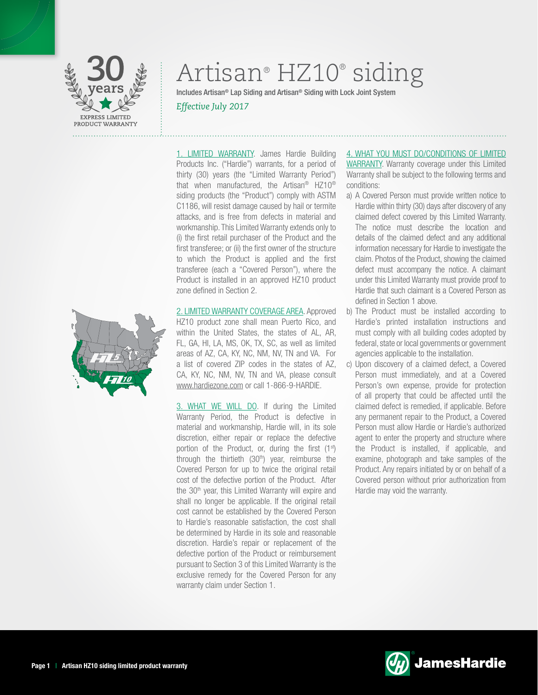

# Artisan® HZ10® siding

Includes Artisan® Lap Siding and Artisan® Siding with Lock Joint System *Effective July 2017*

1. LIMITED WARRANTY. James Hardie Building Products Inc. ("Hardie") warrants, for a period of thirty (30) years (the "Limited Warranty Period") that when manufactured, the Artisan® HZ10® siding products (the "Product") comply with ASTM C1186, will resist damage caused by hail or termite attacks, and is free from defects in material and workmanship. This Limited Warranty extends only to (i) the first retail purchaser of the Product and the first transferee; or (ii) the first owner of the structure to which the Product is applied and the first transferee (each a "Covered Person"), where the Product is installed in an approved HZ10 product zone defined in Section 2.

2. LIMITED WARRANTY COVERAGE AREA. Approved HZ10 product zone shall mean Puerto Rico, and within the United States, the states of AL, AR, FL, GA, HI, LA, MS, OK, TX, SC, as well as limited areas of AZ, CA, KY, NC, NM, NV, TN and VA. For a list of covered ZIP codes in the states of AZ, CA, KY, NC, NM, NV, TN and VA, please consult www.hardiezone.com or call 1-866-9-HARDIE.

3. WHAT WE WILL DO. If during the Limited Warranty Period, the Product is defective in material and workmanship, Hardie will, in its sole discretion, either repair or replace the defective portion of the Product, or, during the first  $(1<sup>st</sup>)$ through the thirtieth (30<sup>th</sup>) year, reimburse the Covered Person for up to twice the original retail cost of the defective portion of the Product. After the 30<sup>th</sup> year, this Limited Warranty will expire and shall no longer be applicable. If the original retail cost cannot be established by the Covered Person to Hardie's reasonable satisfaction, the cost shall be determined by Hardie in its sole and reasonable discretion. Hardie's repair or replacement of the defective portion of the Product or reimbursement pursuant to Section 3 of this Limited Warranty is the exclusive remedy for the Covered Person for any warranty claim under Section 1.

4. WHAT YOU MUST DO/CONDITIONS OF LIMITED WARRANTY. Warranty coverage under this Limited Warranty shall be subject to the following terms and conditions:

- a) A Covered Person must provide written notice to Hardie within thirty (30) days after discovery of any claimed defect covered by this Limited Warranty. The notice must describe the location and details of the claimed defect and any additional information necessary for Hardie to investigate the claim. Photos of the Product, showing the claimed defect must accompany the notice. A claimant under this Limited Warranty must provide proof to Hardie that such claimant is a Covered Person as defined in Section 1 above.
- b) The Product must be installed according to Hardie's printed installation instructions and must comply with all building codes adopted by federal, state or local governments or government agencies applicable to the installation.
- c) Upon discovery of a claimed defect, a Covered Person must immediately, and at a Covered Person's own expense, provide for protection of all property that could be affected until the claimed defect is remedied, if applicable. Before any permanent repair to the Product, a Covered Person must allow Hardie or Hardie's authorized agent to enter the property and structure where the Product is installed, if applicable, and examine, photograph and take samples of the Product. Any repairs initiated by or on behalf of a Covered person without prior authorization from Hardie may void the warranty.